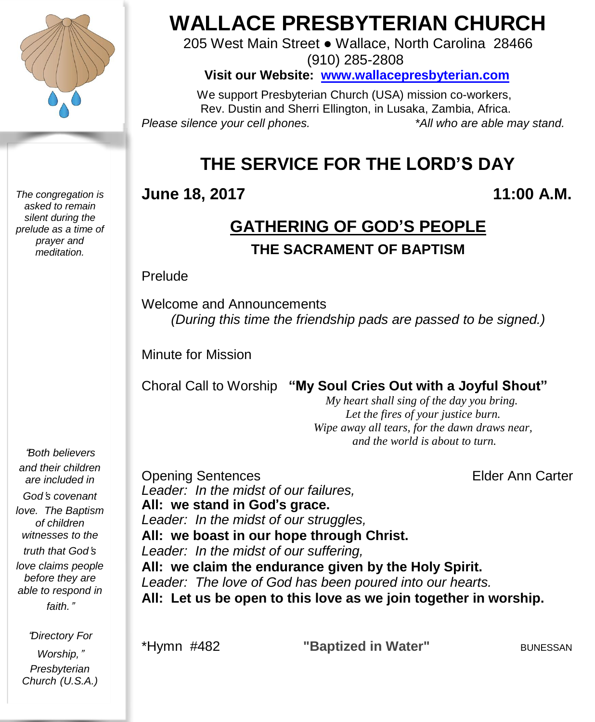

*The congregation is asked to remain silent during the prelude as a time of prayer and meditation.*

# **WALLACE PRESBYTERIAN CHURCH**

205 West Main Street ● Wallace, North Carolina 28466 (910) 285-2808

**Visit our Website: [www.wallacepresbyterian.com](http://www.wallacepresbyterian.com/)**

 We support Presbyterian Church (USA) mission co-workers, Rev. Dustin and Sherri Ellington, in Lusaka, Zambia, Africa. *Please silence your cell phones. \*All who are able may stand.*

# **THE SERVICE FOR THE LORD'S DAY**

#### **June 18, 2017 11:00 A.M.**

# **GATHERING OF GOD'S PEOPLE**

**THE SACRAMENT OF BAPTISM**

#### Prelude

Welcome and Announcements *(During this time the friendship pads are passed to be signed.)*

Minute for Mission

Choral Call to Worship **"My Soul Cries Out with a Joyful Shout"**

 *My heart shall sing of the day you bring. Let the fires of your justice burn. Wipe away all tears, for the dawn draws near, and the world is about to turn.* 

"*Both believers and their children are included in God*'*s covenant love. The Baptism of children witnesses to the truth that God*'*s love claims people before they are able to respond in faith.*"

"*Directory For Worship,*" *Presbyterian Church (U.S.A.)* **Opening Sentences Elder Ann Carter** *Leader: In the midst of our failures,* **All: we stand in God**'**s grace.** *Leader: In the midst of our struggles,* **All: we boast in our hope through Christ.** *Leader: In the midst of our suffering,* **All: we claim the endurance given by the Holy Spirit.** *Leader: The love of God has been poured into our hearts.* **All: Let us be open to this love as we join together in worship.**

\*Hymn #482 **"Baptized in Water"** BUNESSAN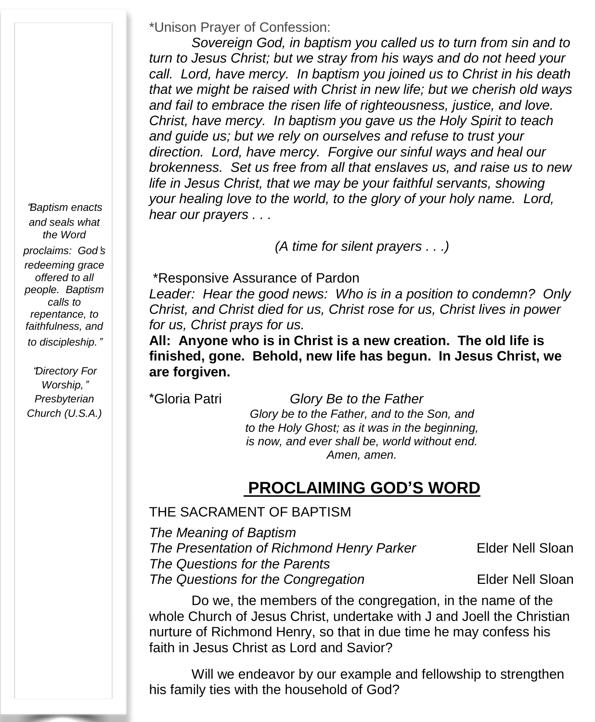\*Unison Prayer of Confession:

*Sovereign God, in baptism you called us to turn from sin and to turn to Jesus Christ; but we stray from his ways and do not heed your call. Lord, have mercy. In baptism you joined us to Christ in his death that we might be raised with Christ in new life; but we cherish old ways and fail to embrace the risen life of righteousness, justice, and love. Christ, have mercy. In baptism you gave us the Holy Spirit to teach and guide us; but we rely on ourselves and refuse to trust your direction. Lord, have mercy. Forgive our sinful ways and heal our brokenness. Set us free from all that enslaves us, and raise us to new life in Jesus Christ, that we may be your faithful servants, showing your healing love to the world, to the glory of your holy name. Lord, hear our prayers . . .*

*(A time for silent prayers . . .)*

\*Responsive Assurance of Pardon

*Leader: Hear the good news: Who is in a position to condemn? Only Christ, and Christ died for us, Christ rose for us, Christ lives in power for us, Christ prays for us.*

**All: Anyone who is in Christ is a new creation. The old life is finished, gone. Behold, new life has begun. In Jesus Christ, we are forgiven.**

\*Gloria Patri *Glory Be to the Father Glory be to the Father, and to the Son, and to the Holy Ghost; as it was in the beginning, is now, and ever shall be, world without end. Amen, amen.*

# **PROCLAIMING GOD'S WORD**

#### THE SACRAMENT OF BAPTISM

*The Meaning of Baptism The Presentation of Richmond Henry Parker* Elder Nell Sloan *The Questions for the Parents The* Questions for the Congregation **Elder Nell Sloan** 

Do we, the members of the congregation, in the name of the whole Church of Jesus Christ, undertake with J and Joell the Christian nurture of Richmond Henry, so that in due time he may confess his faith in Jesus Christ as Lord and Savior?

Will we endeavor by our example and fellowship to strengthen his family ties with the household of God?

"*Baptism enacts and seals what the Word proclaims: God*'*s redeeming grace offered to all people. Baptism calls to repentance, to faithfulness, and to discipleship.*"

"*Directory For Worship,*" *Presbyterian Church (U.S.A.)*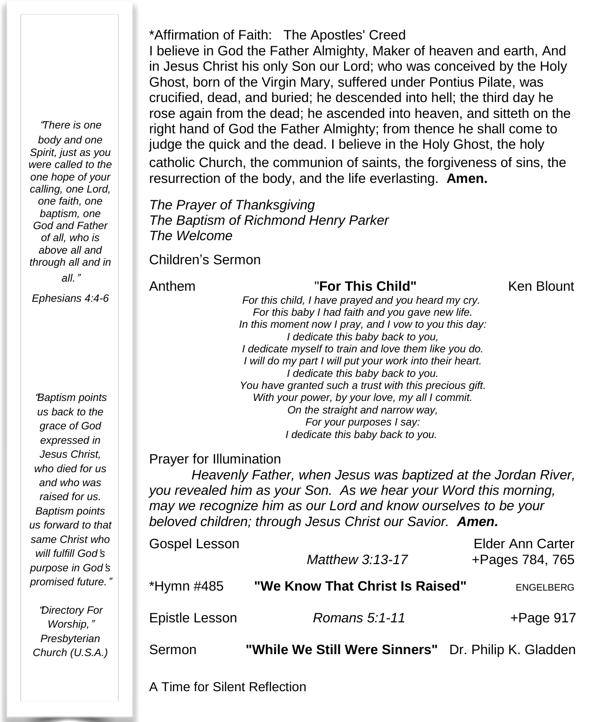\*Affirmation of Faith: The Apostles' Creed I believe in God the Father Almighty, Maker of heaven and earth, And in Jesus Christ his only Son our Lord; who was conceived by the Holy Ghost, born of the Virgin Mary, suffered under Pontius Pilate, was crucified, dead, and buried; he descended into hell; the third day he rose again from the dead; he ascended into heaven, and sitteth on the right hand of God the Father Almighty; from thence he shall come to judge the quick and the dead. I believe in the Holy Ghost, the holy catholic Church, the communion of saints, the forgiveness of sins, the resurrection of the body, and the life everlasting. **Amen.**

*The Prayer of Thanksgiving The Baptism of Richmond Henry Parker The Welcome*

Children's Sermon

Anthem "**For This Child"** Ken Blount *For this child, I have prayed and you heard my cry. For this baby I had faith and you gave new life. In this moment now I pray, and I vow to you this day: I dedicate this baby back to you, I dedicate myself to train and love them like you do. I will do my part I will put your work into their heart. I dedicate this baby back to you. You have granted such a trust with this precious gift. With your power, by your love, my all I commit. On the straight and narrow way, For your purposes I say: I dedicate this baby back to you.*

Prayer for Illumination

*Heavenly Father, when Jesus was baptized at the Jordan River, you revealed him as your Son. As we hear your Word this morning, may we recognize him as our Lord and know ourselves to be your beloved children; through Jesus Christ our Savior. Amen.*

| Gospel Lesson  | Matthew 3:13-17                                     | <b>Elder Ann Carter</b><br>+Pages 784, 765 |
|----------------|-----------------------------------------------------|--------------------------------------------|
| *Hymn #485     | "We Know That Christ Is Raised"                     | <b>ENGELBERG</b>                           |
| Epistle Lesson | Romans 5:1-11                                       | $+$ Page 917                               |
| Sermon         | "While We Still Were Sinners" Dr. Philip K. Gladden |                                            |

"*There is one body and one Spirit, just as you were called to the one hope of your calling, one Lord, one faith, one baptism, one God and Father of all, who is above all and through all and in all.*"

*Ephesians 4:4-6*

"*Baptism points us back to the grace of God expressed in Jesus Christ, who died for us and who was raised for us. Baptism points us forward to that same Christ who will fulfill God*'*s purpose in God*'*s promised future.*"

"*Directory For Worship,*" *Presbyterian Church (U.S.A.)*

A Time for Silent Reflection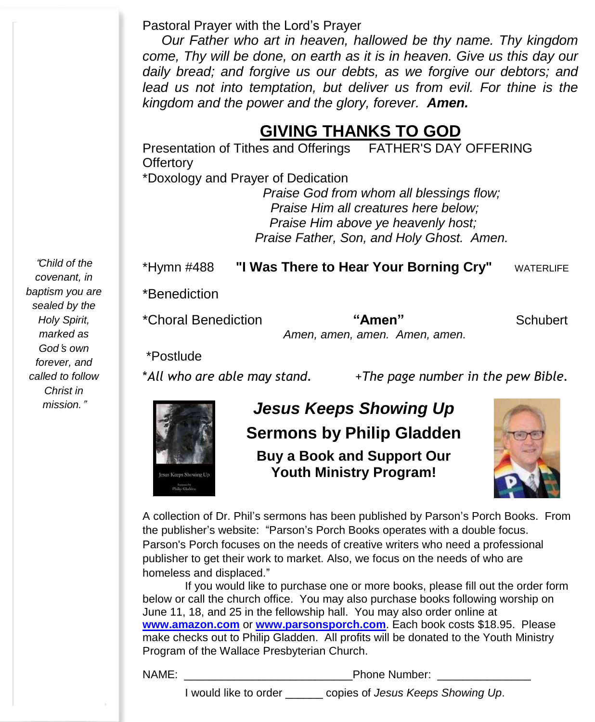Pastoral Prayer with the Lord's Prayer

 *Our Father who art in heaven, hallowed be thy name. Thy kingdom come, Thy will be done, on earth as it is in heaven. Give us this day our daily bread; and forgive us our debts, as we forgive our debtors; and lead us not into temptation, but deliver us from evil. For thine is the kingdom and the power and the glory, forever. Amen.*

# **GIVING THANKS TO GOD**

Presentation of Tithes and Offerings FATHER'S DAY OFFERING **Offertory** \*Doxology and Prayer of Dedication

*Praise God from whom all blessings flow;* *Praise Him all creatures here below;* *Praise Him above ye heavenly host; Praise Father, Son, and Holy Ghost. Amen.*

\*Hymn #488 **"I Was There to Hear Your Borning Cry"** WATERLIFE

\*Benediction

\*Choral Benediction **"Amen"** Schubert

*Amen, amen, amen. Amen, amen.*

\*Postlude

\**All who are able may stand.* +*The page number in the pew Bible.*



*mission.*" *Jesus Keeps Showing Up* **Sermons by Philip Gladden Buy a Book and Support Our Youth Ministry Program!**



A collection of Dr. Phil's sermons has been published by Parson's Porch Books. From the publisher's website: "Parson's Porch Books operates with a double focus. Parson's Porch focuses on the needs of creative writers who need a professional publisher to get their work to market. Also, we focus on the needs of who are homeless and displaced."

If you would like to purchase one or more books, please fill out the order form below or call the church office. You may also purchase books following worship on June 11, 18, and 25 in the fellowship hall. You may also order online at **[www.amazon.com](http://www.amazon.com/)** or **[www.parsonsporch.com](http://www.parsonsporch.com/)**. Each book costs \$18.95. Please make checks out to Philip Gladden. All profits will be donated to the Youth Ministry Program of the Wallace Presbyterian Church.

NAME: \_\_\_\_\_\_\_\_\_\_\_\_\_\_\_\_\_\_\_\_\_\_\_\_\_\_\_Phone Number: \_\_\_\_\_\_\_\_\_\_\_\_\_\_\_

I would like to order \_\_\_\_\_\_ copies of *Jesus Keeps Showing Up*.

"*Child of the covenant, in baptism you are sealed by the Holy Spirit, marked as God*'*s own forever, and called to follow Christ in*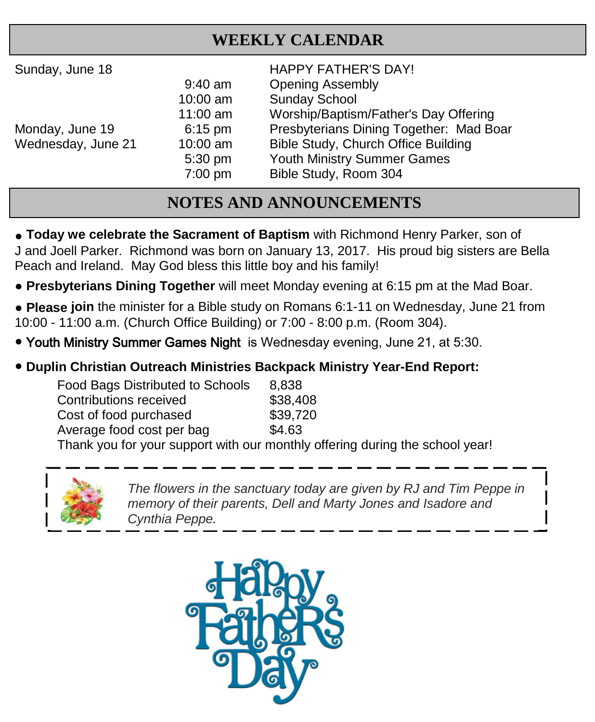### **WEEKLY CALENDAR**

| Sunday, June 18 |  |
|-----------------|--|
|-----------------|--|

HAPPY FATHER'S DAY! 9:40 am Opening Assembly 10:00 am Sunday School 11:00 am Worship/Baptism/Father's Day Offering Monday, June 19 6:15 pm Presbyterians Dining Together: Mad Boar Wednesday, June 21 10:00 am Bible Study, Church Office Building 5:30 pm Youth Ministry Summer Games 7:00 pm Bible Study, Room 304

# **NOTES AND ANNOUNCEMENTS**

**• Today we celebrate the Sacrament of Baptism** with Richmond Henry Parker, son of J and Joell Parker. Richmond was born on January 13, 2017. His proud big sisters are Bella Peach and Ireland. May God bless this little boy and his family!

- **● Presbyterians Dining Together** will meet Monday evening at 6:15 pm at the Mad Boar.
- **● Please join** the minister for a Bible study on Romans 6:1-11 on Wednesday, June 21 from 10:00 - 11:00 a.m. (Church Office Building) or 7:00 - 8:00 p.m. (Room 304).
- Youth Ministry Summer Games Night is Wednesday evening, June 21, at 5:30.

#### ● **Duplin Christian Outreach Ministries Backpack Ministry Year-End Report:**

| <b>Food Bags Distributed to Schools</b>        | 8.838    |
|------------------------------------------------|----------|
| Contributions received                         | \$38,408 |
| Cost of food purchased                         | \$39,720 |
| Average food cost per bag                      | \$4.63   |
| Thank you for your support with our monthly of |          |

support with our monthly offering during the school year!



*The flowers in the sanctuary today are given by RJ and Tim Peppe in memory of their parents, Dell and Marty Jones and Isadore and Cynthia Peppe.*